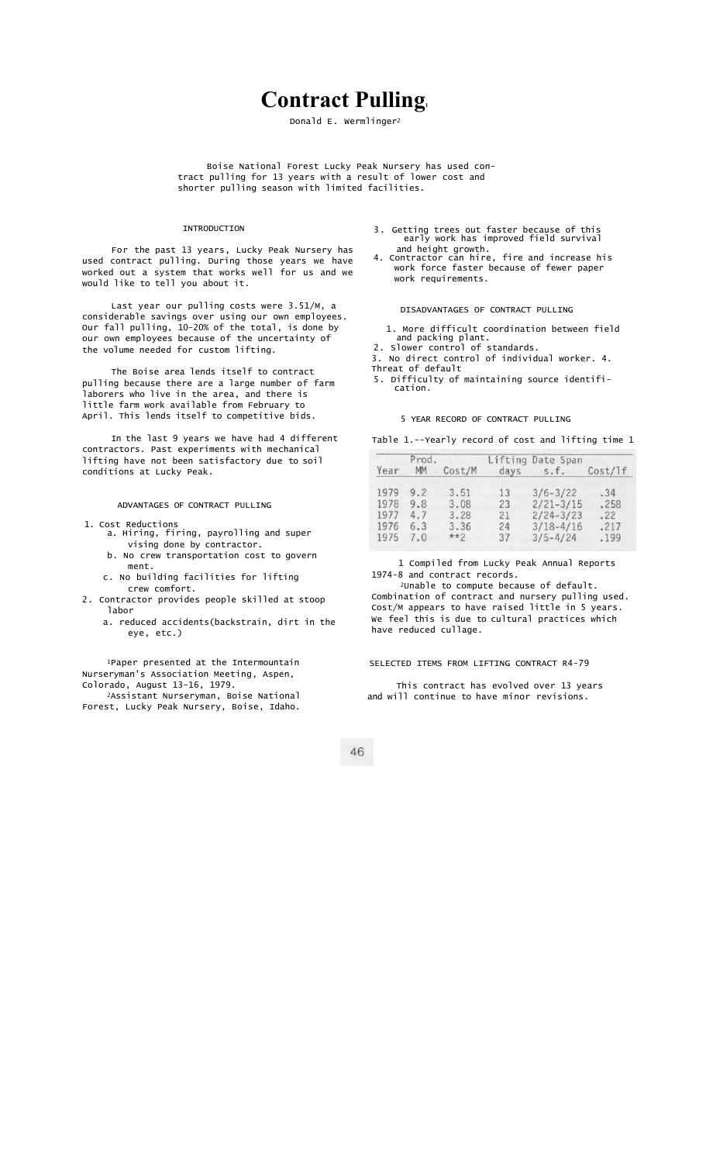# **Contract Pulling.**

Donald E. Wermlinger2

Boise National Forest Lucky Peak Nursery has used contract pulling for 13 years with a result of lower cost and shorter pulling season with limited facilities.

## INTRODUCTION

For the past 13 years, Lucky Peak Nursery has used contract pulling. During those years we have worked out a system that works well for us and we would like to tell you about it.

Last year our pulling costs were 3.51/M, a considerable savings over using our own employees. Our fall pulling, 10-20% of the total, is done by our own employees because of the uncertainty of the volume needed for custom lifting.

The Boise area lends itself to contract pulling because there are a large number of farm laborers who live in the area, and there is little farm work available from February to April. This lends itself to competitive bids.

In the last 9 years we have had 4 different contractors. Past experiments with mechanical lifting have not been satisfactory due to soil conditions at Lucky Peak.

ADVANTAGES OF CONTRACT PULLING

- 1. Cost Reductions
	- a. Hiring, firing, payrolling and super vising done by contractor.
	- b. No crew transportation cost to govern ment. c. No building facilities for lifting
- crew comfort. 2. Contractor provides people skilled at stoop
	- labor a. reduced accidents(backstrain, dirt in the
		- eye, etc.)

1Paper presented at the Intermountain Nurseryman's Association Meeting, Aspen, Colorado, August 13-16, 1979.

2Assistant Nurseryman, Boise National Forest, Lucky Peak Nursery, Boise, Idaho.

- 3. Getting trees out faster because of this early work has improved field survival
- and height growth. 4. Contractor can hire, fire and increase his work force faster because of fewer paper work requirements.

DISADVANTAGES OF CONTRACT PULLING

- 1. More difficult coordination between field and packing plant.
- 2. Slower control of standards. 3. No direct control of individual worker. 4.
- Threat of default 5. Difficulty of maintaining source identifi-
- cation.

### 5 YEAR RECORD OF CONTRACT PULLING

Table 1.--Yearly record of cost and lifting time 1

| Prod. |     |        |      | Lifting Date Span |         |  |
|-------|-----|--------|------|-------------------|---------|--|
| Year  | MM  | Cost/M | days | S.f.              | Cost/1f |  |
| 1979  | 9.2 | 3.51   | 13   | $3/6 - 3/22$      | .34     |  |
| 1978  | 9.8 | 3.08   | 23   | $2/21 - 3/15$     | .258    |  |
| 1977  | 4.7 | 3.28   | 21   | $2/24 - 3/23$     | .22     |  |
| 1976  | 6.3 | 3.36   | 24   | $3/18 - 4/16$     | .217    |  |
| 1975  | 7.0 | $**2$  | 37   | $3/5 - 4/24$      | .199    |  |

 1 Compiled from Lucky Peak Annual Reports 1974-8 and contract records.

2Unable to compute because of default. Combination of contract and nursery pulling used. Cost/M appears to have raised little in 5 years. We feel this is due to cultural practices which have reduced cullage.

#### SELECTED ITEMS FROM LIFTING CONTRACT R4-79

This contract has evolved over 13 years and will continue to have minor revisions.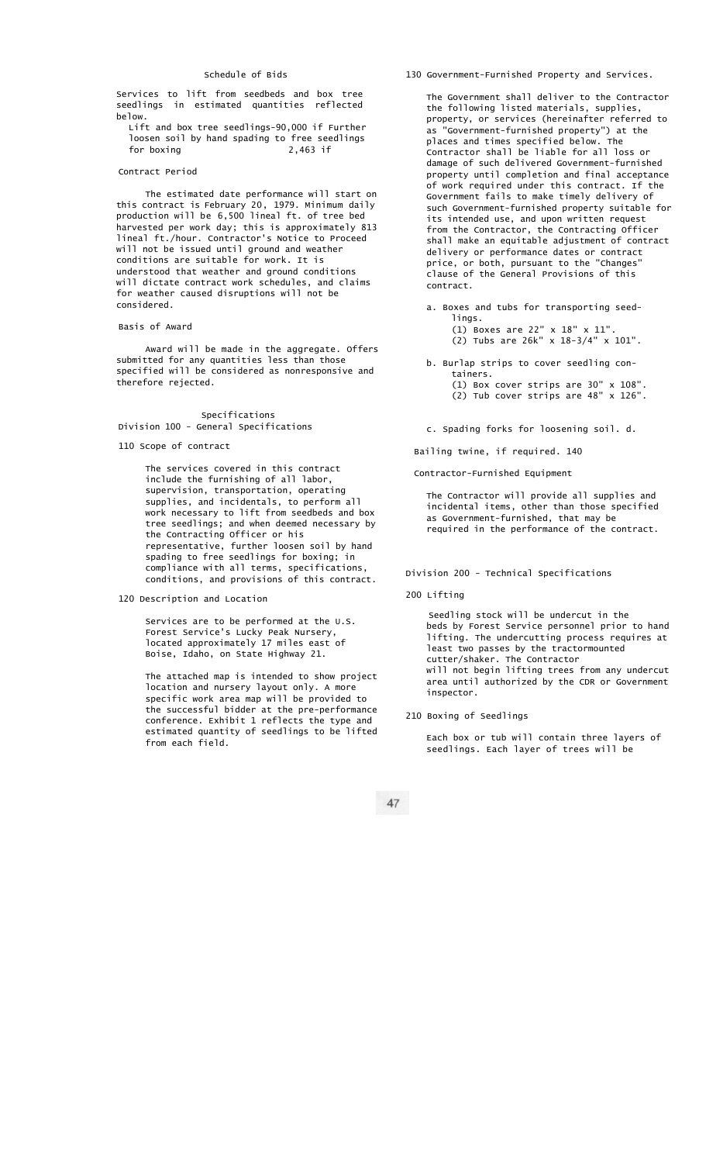## Schedule of Bids

Services to lift from seedbeds and box tree seedlings in estimated quantities reflected below.

Lift and box tree seedlings-90,000 if Further loosen soil by hand spading to free seedlings for boxing 2,463 if

#### Contract Period

The estimated date performance will start on this contract is February 20, 1979. Minimum daily production will be 6,500 lineal ft. of tree bed harvested per work day; this is approximately 813 lineal ft./hour. Contractor's Notice to Proceed will not be issued until ground and weather conditions are suitable for work. It is understood that weather and ground conditions will dictate contract work schedules, and claims for weather caused disruptions will not be considered.

# Basis of Award

Award will be made in the aggregate. Offers submitted for any quantities less than those specified will be considered as nonresponsive and therefore rejected.

## Specifications Division 100 - General Specifications

110 Scope of contract

The services covered in this contract include the furnishing of all labor, supervision, transportation, operating supplies, and incidentals, to perform all work necessary to lift from seedbeds and box tree seedlings; and when deemed necessary by the Contracting Officer or his representative, further loosen soil by hand spading to free seedlings for boxing; in compliance with all terms, specifications, conditions, and provisions of this contract.

120 Description and Location

Services are to be performed at the U.S. Forest Service's Lucky Peak Nursery, located approximately 17 miles east of Boise, Idaho, on State Highway 21.

The attached map is intended to show project location and nursery layout only. A more specific work area map will be provided to the successful bidder at the pre-performance conference. Exhibit 1 reflects the type and estimated quantity of seedlings to be lifted from each field.

130 Government-Furnished Property and Services.

The Government shall deliver to the Contractor the following listed materials, supplies, property, or services (hereinafter referred to as "Government-furnished property") at the places and times specified below. The Contractor shall be liable for all loss or damage of such delivered Government-furnished property until completion and final acceptance of work required under this contract. If the Government fails to make timely delivery of such Government-furnished property suitable for its intended use, and upon written request from the Contractor, the Contracting Officer shall make an equitable adjustment of contract delivery or performance dates or contract price, or both, pursuant to the "Changes" clause of the General Provisions of this contract.

a. Boxes and tubs for transporting seedlings. (1) Boxes are 22" x 18" x 11".

(2) Tubs are 26k" x 18-3/4" x 101".

b. Burlap strips to cover seedling containers. (1) Box cover strips are 30" x 108". (2) Tub cover strips are 48" x 126".

c. Spading forks for loosening soil. d.

Bailing twine, if required. 140

Contractor-Furnished Equipment

The Contractor will provide all supplies incidental items, other than those specified as Government-furnished, that may be required in the performance of the contract.

Division 200 - Technical Specifications

200 Lifting

Seedling stock will be undercut in the beds by Forest Service personnel prior to hand lifting. The undercutting process requires at least two passes by the tractormounted cutter/shaker. The Contractor will not begin lifting trees from any undercut area until authorized by the CDR or Government inspector.

210 Boxing of Seedlings

Each box or tub will contain three layers of seedlings. Each layer of trees will be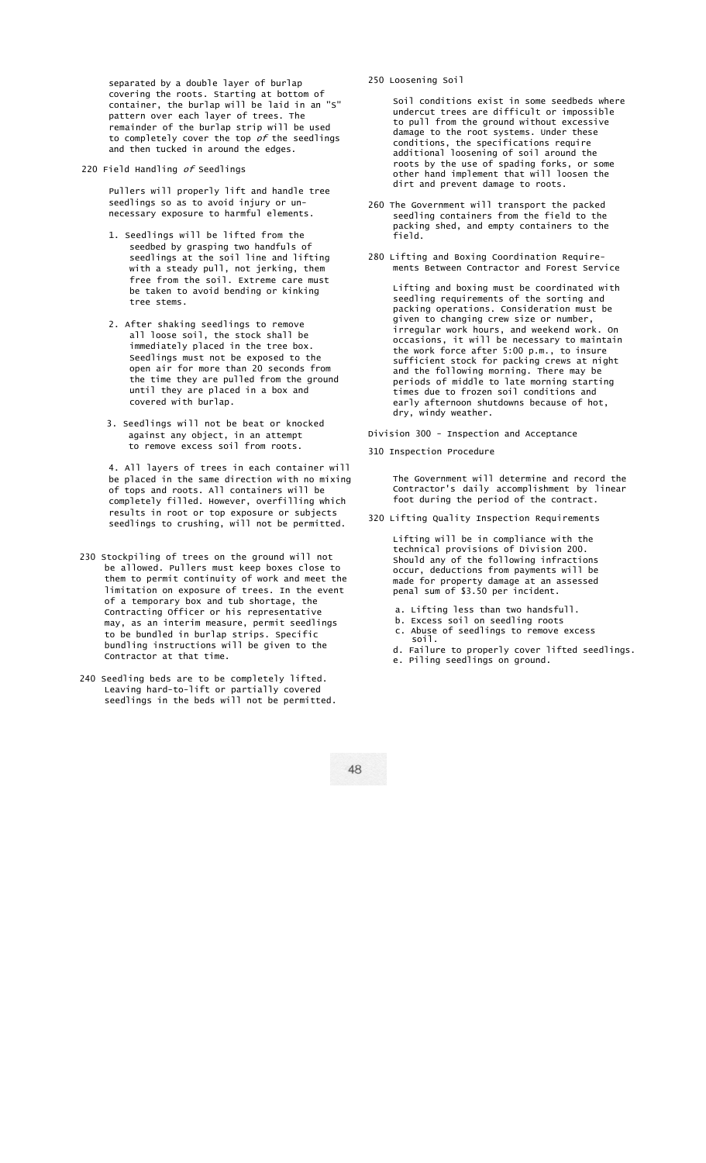separated by a double layer of burlap covering the roots. Starting at bottom of container, the burlap will be laid in an "S" pattern over each layer of trees. The remainder of the burlap strip will be used to completely cover the top  $of$  the seedlings and then tucked in around the edges.

220 Field Handling of Seedlings

Pullers will properly lift and handle tree seedlings so as to avoid injury or unnecessary exposure to harmful elements.

- 1. Seedlings will be lifted from the seedbed by grasping two handfuls of seedlings at the soil line and lifting with a steady pull, not jerking, them free from the soil. Extreme care must be taken to avoid bending or kinking tree stems.
- 2. After shaking seedlings to remove all loose soil, the stock shall be immediately placed in the tree box. Seedlings must not be exposed to the open air for more than 20 seconds from the time they are pulled from the ground until they are placed in a box and covered with burlap.
- 3. Seedlings will not be beat or knocked against any object, in an attempt to remove excess soil from roots.

4. All layers of trees in each container will be placed in the same direction with no mixing of tops and roots. All containers will be completely filled. However, overfilling which results in root or top exposure or subjects seedlings to crushing, will not be permitted.

- 230 Stockpiling of trees on the ground will not be allowed. Pullers must keep boxes close to them to permit continuity of work and meet the limitation on exposure of trees. In the event of a temporary box and tub shortage, the Contracting Officer or his representative may, as an interim measure, permit seedlings to be bundled in burlap strips. Specific bundling instructions will be given to the Contractor at that time.
- 240 Seedling beds are to be completely lifted. Leaving hard-to-lift or partially covered seedlings in the beds will not be permitted.

250 Loosening Soil

Soil conditions exist in some seedbeds where undercut trees are difficult or impossible to pull from the ground without excessive damage to the root systems. Under these conditions, the specifications require additional loosening of soil around the roots by the use of spading forks, or some other hand implement that will loosen the dirt and prevent damage to roots.

- 260 The Government will transport the packed seedling containers from the field to the packing shed, and empty containers to the field.
- 280 Lifting and Boxing Coordination Requirements Between Contractor and Forest Service

Lifting and boxing must be coordinated with seedling requirements of the sorting and packing operations. Consideration must be given to changing crew size or number, irregular work hours, and weekend work. On occasions, it will be necessary to maintain the work force after 5:00 p.m., to insure sufficient stock for packing crews at night and the following morning. There may be periods of middle to late morning starting times due to frozen soil conditions and early afternoon shutdowns because of hot, dry, windy weather.

- Division 300 Inspection and Acceptance
- 310 Inspection Procedure

The Government will determine and record the Contractor's daily accomplishment by linear foot during the period of the contract.

320 Lifting Quality Inspection Requirements

Lifting will be in compliance with the technical provisions of Division 200. Should any of the following infractions occur, deductions from payments will be made for property damage at an assessed penal sum of \$3.50 per incident.

- a. Lifting less than two handsfull.
- b. Excess soil on seedling roots
- c. Abuse of seedlings to remove excess soil.
- d. Failure to properly cover lifted seedlings.
- e. Piling seedlings on ground.